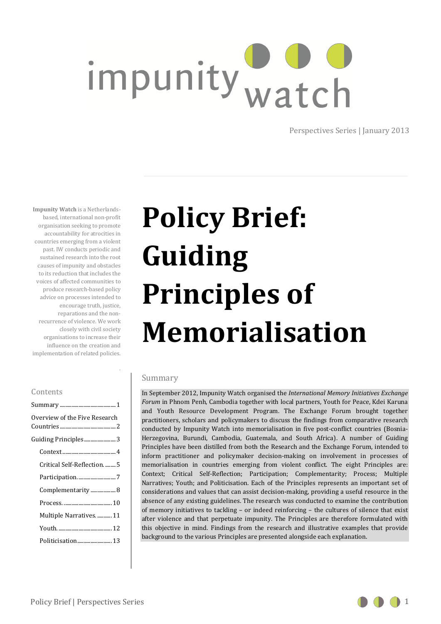# impunity watch

Perspectives Series | January 2013

**Impunity Watch** is a Netherlandsbased, international non-profit organisation seeking to promote accountability for atrocities in countries emerging from a violent past. IW conducts periodic and sustained research into the root causes of impunity and obstacles to its reduction that includes the voices of affected communities to produce research-based policy advice on processes intended to encourage truth, justice, reparations and the nonrecurrence of violence. We work closely with civil society organisations to increase their influence on the creation and implementation of related policies.

# **Policy Brief: Guiding Principles of Memorialisation**

# Summary

.

In September 2012, Impunity Watch organised the *International Memory Initiatives Exchange Forum* in Phnom Penh, Cambodia together with local partners, Youth for Peace, Kdei Karuna and Youth Resource Development Program. The Exchange Forum brought together practitioners, scholars and policymakers to discuss the findings from comparative research conducted by Impunity Watch into memorialisation in five post-conflict countries (Bosnia-Herzegovina, Burundi, Cambodia, Guatemala, and South Africa). A number of Guiding Principles have been distilled from both the Research and the Exchange Forum, intended to inform practitioner and policymaker decision-making on involvement in processes of memorialisation in countries emerging from violent conflict. The eight Principles are: Context; Critical Self-Reflection; Participation; Complementarity; Process; Multiple Narratives; Youth; and Politicisation. Each of the Principles represents an important set of considerations and values that can assist decision-making, providing a useful resource in the absence of any existing guidelines. The research was conducted to examine the contribution of memory initiatives to tackling – or indeed reinforcing – the cultures of silence that exist after violence and that perpetuate impunity. The Principles are therefore formulated with this objective in mind. Findings from the research and illustrative examples that provide background to the various Principles are presented alongside each explanation.

## Contents

| Overview of the Five Research |  |  |  |  |  |  |  |
|-------------------------------|--|--|--|--|--|--|--|
| Guiding Principles3           |  |  |  |  |  |  |  |
|                               |  |  |  |  |  |  |  |
| Critical Self-Reflection.  5  |  |  |  |  |  |  |  |
| Participation7                |  |  |  |  |  |  |  |
| Complementarity 8             |  |  |  |  |  |  |  |
|                               |  |  |  |  |  |  |  |
| Multiple Narratives.  11      |  |  |  |  |  |  |  |
|                               |  |  |  |  |  |  |  |
| Politicisation 13             |  |  |  |  |  |  |  |

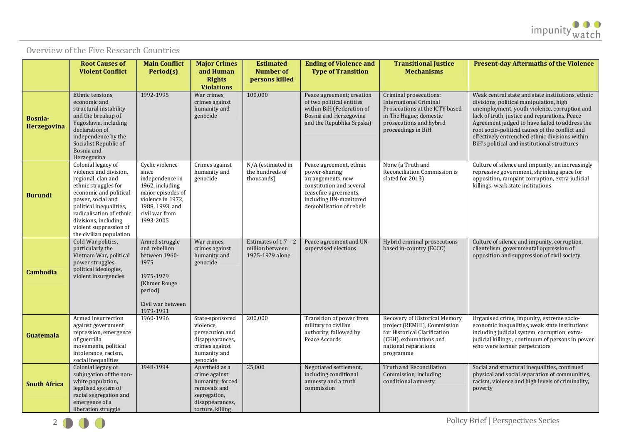# Overview of the Five Research Countries

|                        | <b>Root Causes of</b>                                                                                                                                                                                                                                                         | <b>Main Conflict</b>                                                                                                                                       | <b>Major Crimes</b>                                                                                                        | <b>Estimated</b>                                             | <b>Ending of Violence and</b>                                                                                                                                            | <b>Transitional Justice</b>                                                                                                                                          | <b>Present-day Aftermaths of the Violence</b>                                                                                                                                                                                                                                                                                                                                                        |
|------------------------|-------------------------------------------------------------------------------------------------------------------------------------------------------------------------------------------------------------------------------------------------------------------------------|------------------------------------------------------------------------------------------------------------------------------------------------------------|----------------------------------------------------------------------------------------------------------------------------|--------------------------------------------------------------|--------------------------------------------------------------------------------------------------------------------------------------------------------------------------|----------------------------------------------------------------------------------------------------------------------------------------------------------------------|------------------------------------------------------------------------------------------------------------------------------------------------------------------------------------------------------------------------------------------------------------------------------------------------------------------------------------------------------------------------------------------------------|
|                        | <b>Violent Conflict</b>                                                                                                                                                                                                                                                       | Period(s)                                                                                                                                                  | and Human<br><b>Rights</b><br><b>Violations</b>                                                                            | <b>Number of</b><br>persons killed                           | <b>Type of Transition</b>                                                                                                                                                | <b>Mechanisms</b>                                                                                                                                                    |                                                                                                                                                                                                                                                                                                                                                                                                      |
| Bosnia-<br>Herzegovina | Ethnic tensions,<br>economic and<br>structural instability<br>and the breakup of<br>Yugoslavia, including<br>declaration of<br>independence by the<br>Socialist Republic of<br>Bosnia and<br>Herzegovina                                                                      | 1992-1995                                                                                                                                                  | War crimes,<br>crimes against<br>humanity and<br>genocide                                                                  | 100,000                                                      | Peace agreement; creation<br>of two political entities<br>within BiH (Federation of<br>Bosnia and Herzegovina<br>and the Republika Srpska)                               | Criminal prosecutions:<br><b>International Criminal</b><br>Prosecutions at the ICTY based<br>in The Hague; domestic<br>prosecutions and hybrid<br>proceedings in BiH | Weak central state and state institutions, ethnic<br>divisions, political manipulation, high<br>unemployment, youth violence, corruption and<br>lack of truth, justice and reparations. Peace<br>Agreement judged to have failed to address the<br>root socio-political causes of the conflict and<br>effectively entrenched ethnic divisions within<br>BiH's political and institutional structures |
| <b>Burundi</b>         | Colonial legacy of<br>violence and division,<br>regional, clan and<br>ethnic struggles for<br>economic and political<br>power, social and<br>political inequalities,<br>radicalisation of ethnic<br>divisions, including<br>violent suppression of<br>the civilian population | Cyclic violence<br>since<br>independence in<br>1962, including<br>major episodes of<br>violence in 1972,<br>1988, 1993, and<br>civil war from<br>1993-2005 | Crimes against<br>humanity and<br>genocide                                                                                 | N/A (estimated in<br>the hundreds of<br>thousands)           | Peace agreement, ethnic<br>power-sharing<br>arrangements, new<br>constitution and several<br>ceasefire agreements,<br>including UN-monitored<br>demobilisation of rebels | None (a Truth and<br>Reconciliation Commission is<br>slated for 2013)                                                                                                | Culture of silence and impunity, an increasingly<br>repressive government, shrinking space for<br>opposition, rampant corruption, extra-judicial<br>killings, weak state institutions                                                                                                                                                                                                                |
| Cambodia               | Cold War politics,<br>particularly the<br>Vietnam War, political<br>power struggles,<br>political ideologies,<br>violent insurgencies                                                                                                                                         | Armed struggle<br>and rebellion<br>between 1960-<br>1975<br>1975-1979<br>(Khmer Rouge)<br>period)<br>Civil war between<br>1979-1991                        | War crimes,<br>crimes against<br>humanity and<br>genocide                                                                  | Estimates of $1.7 - 2$<br>million between<br>1975-1979 alone | Peace agreement and UN-<br>supervised elections                                                                                                                          | Hybrid criminal prosecutions<br>based in-country (ECCC)                                                                                                              | Culture of silence and impunity, corruption,<br>clientelism, governmental oppression of<br>opposition and suppression of civil society                                                                                                                                                                                                                                                               |
| Guatemala              | Armed insurrection<br>against government<br>repression, emergence<br>of guerrilla<br>movements, political<br>intolerance, racism,<br>social inequalities                                                                                                                      | 1960-1996                                                                                                                                                  | State-sponsored<br>violence,<br>persecution and<br>disappearances,<br>crimes against<br>humanity and<br>genocide           | 200,000                                                      | Transition of power from<br>military to civilian<br>authority, followed by<br>Peace Accords                                                                              | Recovery of Historical Memory<br>project (REMHI), Commission<br>for Historical Clarification<br>(CEH), exhumations and<br>national reparations<br>programme          | Organised crime, impunity, extreme socio-<br>economic inequalities, weak state institutions<br>including judicial system, corruption, extra-<br>judicial killings, continuum of persons in power<br>who were former perpetrators                                                                                                                                                                     |
| <b>South Africa</b>    | Colonial legacy of<br>subjugation of the non-<br>white population,<br>legalised system of<br>racial segregation and<br>emergence of a<br>liberation struggle                                                                                                                  | 1948-1994                                                                                                                                                  | Apartheid as a<br>crime against<br>humanity, forced<br>removals and<br>segregation,<br>disappearances,<br>torture, killing | 25,000                                                       | Negotiated settlement,<br>including conditional<br>amnesty and a truth<br>commission                                                                                     | Truth and Reconciliation<br>Commission, including<br>conditional amnesty                                                                                             | Social and structural inequalities, continued<br>physical and social separation of communities,<br>racism, violence and high levels of criminality,<br>poverty                                                                                                                                                                                                                                       |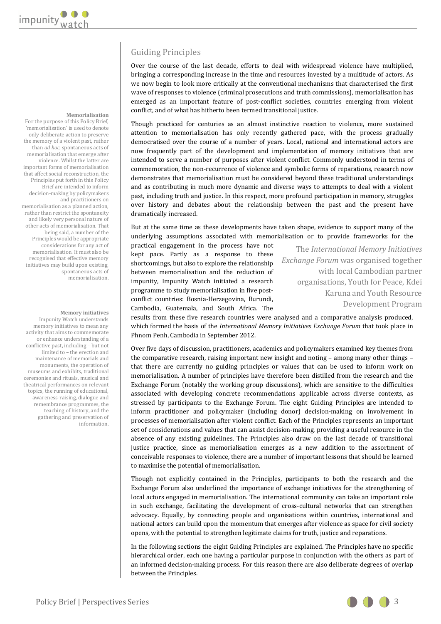# Guiding Principles

Over the course of the last decade, efforts to deal with widespread violence have multiplied, bringing a corresponding increase in the time and resources invested by a multitude of actors. As we now begin to look more critically at the conventional mechanisms that characterised the first wave of responses to violence (criminal prosecutions and truth commissions), memorialisation has emerged as an important feature of post-conflict societies, countries emerging from violent conflict, and of what has hitherto been termed transitional justice.

Though practiced for centuries as an almost instinctive reaction to violence, more sustained attention to memorialisation has only recently gathered pace, with the process gradually democratised over the course of a number of years. Local, national and international actors are now frequently part of the development and implementation of memory initiatives that are intended to serve a number of purposes after violent conflict. Commonly understood in terms of commemoration, the non-recurrence of violence and symbolic forms of reparations, research now demonstrates that memorialisation must be considered beyond these traditional understandings and as contributing in much more dynamic and diverse ways to attempts to deal with a violent past, including truth and justice. In this respect, more profound participation in memory, struggles over history and debates about the relationship between the past and the present have dramatically increased.

But at the same time as these developments have taken shape, evidence to support many of the underlying assumptions associated with memorialisation or to provide frameworks for the

practical engagement in the process have not kept pace. Partly as a response to these shortcomings, but also to explore the relationship between memorialisation and the reduction of impunity, Impunity Watch initiated a research programme to study memorialisation in five postconflict countries: Bosnia-Herzegovina, Burundi, Cambodia, Guatemala, and South Africa. The

The *International Memory Initiatives Exchange Forum* was organised together with local Cambodian partner organisations, Youth for Peace, Kdei Karuna and Youth Resource Development Program

results from these five research countries were analysed and a comparative analysis produced, which formed the basis of the *International Memory Initiatives Exchange Forum* that took place in Phnom Penh, Cambodia in September 2012.

Over five days of discussion, practitioners, academics and policymakers examined key themes from the comparative research, raising important new insight and noting – among many other things – that there are currently no guiding principles or values that can be used to inform work on memorialisation. A number of principles have therefore been distilled from the research and the Exchange Forum (notably the working group discussions), which are sensitive to the difficulties associated with developing concrete recommendations applicable across diverse contexts, as stressed by participants to the Exchange Forum. The eight Guiding Principles are intended to inform practitioner and policymaker (including donor) decision-making on involvement in processes of memorialisation after violent conflict. Each of the Principles represents an important set of considerations and values that can assist decision-making, providing a useful resource in the absence of any existing guidelines. The Principles also draw on the last decade of transitional justice practice, since as memorialisation emerges as a new addition to the assortment of conceivable responses to violence, there are a number of important lessons that should be learned to maximise the potential of memorialisation.

Though not explicitly contained in the Principles, participants to both the research and the Exchange Forum also underlined the importance of exchange initiatives for the strengthening of local actors engaged in memorialisation. The international community can take an important role in such exchange, facilitating the development of cross-cultural networks that can strengthen advocacy. Equally, by connecting people and organisations within countries, international and national actors can build upon the momentum that emerges after violence as space for civil society opens, with the potential to strengthen legitimate claims for truth, justice and reparations.

In the following sections the eight Guiding Principles are explained. The Principles have no specific hierarchical order, each one having a particular purpose in conjunction with the others as part of an informed decision-making process. For this reason there are also deliberate degrees of overlap between the Principles.

#### **Memorialisation**

For the purpose of this Policy Brief, 'memorialisation' is used to denote only deliberate action to preserve the memory of a violent past, rather than *ad hoc*, spontaneous acts of memorialisation that emerge after violence. Whilst the latter are important forms of memorialisation that affect social reconstruction, the Principles put forth in this Policy Brief are intended to inform decision-making by policymakers and practitioners on memorialisation as a planned action, rather than restrict the spontaneity and likely very personal nature of other acts of memorialisation. That being said, a number of the Principles would be appropriate considerations for any act of memorialisation. It must also be recognised that effective memory initiatives may build upon existing, spontaneous acts of memorialisation.

**Memory initiatives**  Impunity Watch understands memory initiatives to mean any activity that aims to commemorate or enhance understanding of a conflictive past, including – but not limited to – the erection and maintenance of memorials and monuments, the operation of museums and exhibits, traditional ceremonies and rituals, musical and theatrical performances on relevant topics, the running of educational, awareness-raising, dialogue and remembrance programmes, the teaching of history, and the gathering and preservation of information.

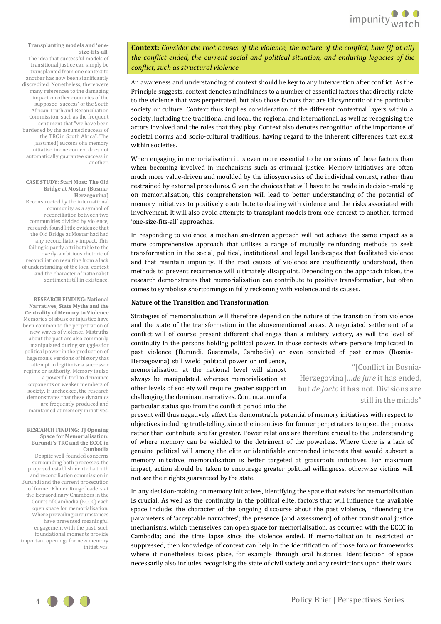#### **Transplanting models and 'onesize-fits-all'**

 The idea that successful models of transitional justice can simply be transplanted from one context to another has now been significantly discredited. Nonetheless, there were many references to the damaging impact on other countries of the supposed 'success' of the South African Truth and Reconciliation Commission, such as the frequent sentiment that "we have been burdened by the assumed success of the TRC in South Africa". The (assumed) success of a memory initiative in one context does not automatically guarantee success in another.

#### **CASE STUDY: Stari Most: The Old Bridge at Mostar (Bosnia-Herzegovina)**

 Reconstructed by the international community as a symbol of reconciliation between two communities divided by violence, research found little evidence that the Old Bridge at Mostar had had any reconciliatory impact. This failing is partly attributable to the overly-ambitious rhetoric of reconciliation resulting from a lack of understanding of the local context and the character of nationalist sentiment still in existence.

**RESEARCH FINDING: National Narratives, State Myths and the Centrality of Memory to Violence**  Memories of abuse or injustice have been common to the perpetration of new waves of violence. Mistruths about the past are also commonly manipulated during struggles for political power in the production of hegemonic versions of history that attempt to legitimise a successor regime or authority. Memory is also a powerful tool to denounce opponents or weaker members of society. If unchecked, the research demonstrates that these dynamics are frequently produced and maintained at memory initiatives.

#### **RESEARCH FINDING: TJ Opening Space for Memorialisation: Burundi's TRC and the ECCC in Cambodia**

Despite well-founded concerns surrounding both processes, the proposed establishment of a truth and reconciliation commission in Burundi and the current prosecution of former Khmer Rouge leaders at the Extraordinary Chambers in the Courts of Cambodia (ECCC) each open space for memorialisation. Where prevailing circumstances have prevented meaningful engagement with the past, such foundational moments provide important openings for new memory initiatives.

**Context:** *Consider the root causes of the violence, the nature of the conflict, how (if at all) the conflict ended, the current social and political situation, and enduring legacies of the conflict, such as structural violence.*

An awareness and understanding of context should be key to any intervention after conflict. As the Principle suggests, context denotes mindfulness to a number of essential factors that directly relate to the violence that was perpetrated, but also those factors that are idiosyncratic of the particular society or culture. Context thus implies consideration of the different contextual layers within a society, including the traditional and local, the regional and international, as well as recognising the actors involved and the roles that they play. Context also denotes recognition of the importance of societal norms and socio-cultural traditions, having regard to the inherent differences that exist within societies.

When engaging in memorialisation it is even more essential to be conscious of these factors than when becoming involved in mechanisms such as criminal justice. Memory initiatives are often much more value-driven and moulded by the idiosyncrasies of the individual context, rather than restrained by external procedures. Given the choices that will have to be made in decision-making on memorialisation, this comprehension will lead to better understanding of the potential of memory initiatives to positively contribute to dealing with violence and the risks associated with involvement. It will also avoid attempts to transplant models from one context to another, termed 'one-size-fits-all' approaches.

In responding to violence, a mechanism-driven approach will not achieve the same impact as a more comprehensive approach that utilises a range of mutually reinforcing methods to seek transformation in the social, political, institutional and legal landscapes that facilitated violence and that maintain impunity. If the root causes of violence are insufficiently understood, then methods to prevent recurrence will ultimately disappoint. Depending on the approach taken, the research demonstrates that memorialisation can contribute to positive transformation, but often comes to symbolise shortcomings in fully reckoning with violence and its causes.

#### **Nature of the Transition and Transformation**

Strategies of memorialisation will therefore depend on the nature of the transition from violence and the state of the transformation in the abovementioned areas. A negotiated settlement of a conflict will of course present different challenges than a military victory, as will the level of continuity in the persons holding political power. In those contexts where persons implicated in past violence (Burundi, Guatemala, Cambodia) or even convicted of past crimes (Bosnia-

Herzegovina) still wield political power or influence, memorialisation at the national level will almost always be manipulated, whereas memorialisation at other levels of society will require greater support in challenging the dominant narratives. Continuation of a particular status quo from the conflict period into the

"[Conflict in Bosnia-Herzegovina]…*de jure* it has ended, but *de facto* it has not. Divisions are still in the minds"

present will thus negatively affect the demonstrable potential of memory initiatives with respect to objectives including truth-telling, since the incentives for former perpetrators to upset the process rather than contribute are far greater. Power relations are therefore crucial to the understanding of where memory can be wielded to the detriment of the powerless. Where there is a lack of genuine political will among the elite or identifiable entrenched interests that would subvert a memory initiative, memorialisation is better targeted at grassroots initiatives. For maximum impact, action should be taken to encourage greater political willingness, otherwise victims will not see their rights guaranteed by the state.

In any decision-making on memory initiatives, identifying the space that exists for memorialisation is crucial. As well as the continuity in the political elite, factors that will influence the available space include: the character of the ongoing discourse about the past violence, influencing the parameters of 'acceptable narratives'; the presence (and assessment) of other transitional justice mechanisms, which themselves can open space for memorialisation, as occurred with the ECCC in Cambodia; and the time lapse since the violence ended. If memorialisation is restricted or suppressed, then knowledge of context can help in the identification of those fora or frameworks where it nonetheless takes place, for example through oral histories. Identification of space necessarily also includes recognising the state of civil society and any restrictions upon their work.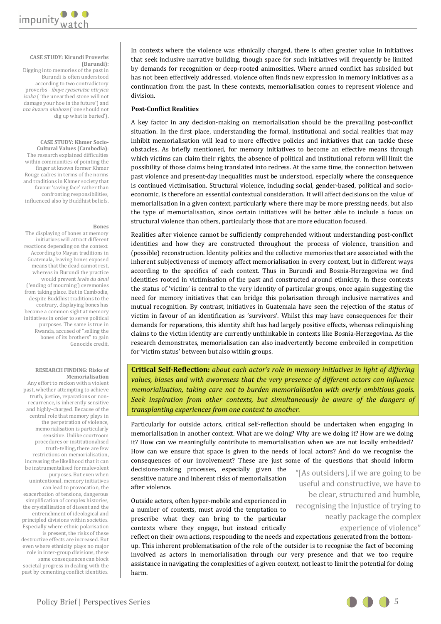

#### **CASE STUDY: Kirundi Proverbs (Burundi):**

Digging into memories of the past in Burundi is often understood according to two contradictory proverbs - *ibuye ryaserutse ntiryica isuka* ( 'the unearthed stone will not damage your hoe in the future') and *nta kuzura akaboze* ('one should not dig up what is buried').

**CASE STUDY: Khmer Socio-Cultural Values (Cambodia)**: The research explained difficulties within communities of pointing the finger at known former Khmer Rouge cadres in terms of the norms and traditions in Khmer society that favour 'saving face' rather than confronting responsibilities, influenced also by Buddhist beliefs.

#### **Bones**

The displaying of bones at memory initiatives will attract different reactions depending on the context. According to Mayan traditions in Guatemala, leaving bones exposed means that the dead cannot rest, whereas in Burundi the practice would prevent *levée du deuil* ('ending of mourning') ceremonies from taking place. But in Cambodia, despite Buddhist traditions to the contrary, displaying bones has become a common sight at memory initiatives in order to serve political purposes. The same is true in Rwanda, accused of "selling the bones of its brothers" to gain Genocide credit.

#### **RESEARCH FINDING: Risks of Memorialisation**

Any effort to reckon with a violent past, whether attempting to achieve truth, justice, reparations or nonrecurrence, is inherently sensitive and highly-charged. Because of the central role that memory plays in the perpetration of violence, memorialisation is particularly sensitive. Unlike courtroom procedures or institutionalised truth-telling, there are few restrictions on memorialisation, increasing the likelihood that it can be instrumentalised for malevolent purposes. But even when unintentional, memory initiatives can lead to provocation, the exacerbation of tensions, dangerous simplification of complex histories, the crystallisation of dissent and the entrenchment of ideological and principled divisions within societies. Especially where ethnic polarisation is present, the risks of these destructive effects are increased. But even where ethnicity plays no major role in inter-group divisions, these same consequences can block societal progress in dealing with the past by cementing conflict identities.

In contexts where the violence was ethnically charged, there is often greater value in initiatives that seek inclusive narrative building, though space for such initiatives will frequently be limited by demands for recognition or deep-rooted animosities. Where armed conflict has subsided but has not been effectively addressed, violence often finds new expression in memory initiatives as a continuation from the past. In these contexts, memorialisation comes to represent violence and division.

# **Post-Conflict Realities**

A key factor in any decision-making on memorialisation should be the prevailing post-conflict situation. In the first place, understanding the formal, institutional and social realities that may inhibit memorialisation will lead to more effective policies and initiatives that can tackle these obstacles. As briefly mentioned, for memory initiatives to become an effective means through which victims can claim their rights, the absence of political and institutional reform will limit the possibility of those claims being translated into redress. At the same time, the connection between past violence and present-day inequalities must be understood, especially where the consequence is continued victimisation. Structural violence, including social, gender-based, political and socioeconomic, is therefore an essential contextual consideration. It will affect decisions on the value of memorialisation in a given context, particularly where there may be more pressing needs, but also the type of memorialisation, since certain initiatives will be better able to include a focus on structural violence than others, particularly those that are more education focused.

Realities after violence cannot be sufficiently comprehended without understanding post-conflict identities and how they are constructed throughout the process of violence, transition and (possible) reconstruction. Identity politics and the collective memories that are associated with the inherent subjectiveness of memory affect memorialisation in every context, but in different ways according to the specifics of each context. Thus in Burundi and Bosnia-Herzegovina we find identities rooted in victimisation of the past and constructed around ethnicity. In these contexts the status of 'victim' is central to the very identity of particular groups, once again suggesting the need for memory initiatives that can bridge this polarisation through inclusive narratives and mutual recognition. By contrast, initiatives in Guatemala have seen the rejection of the status of victim in favour of an identification as 'survivors'. Whilst this may have consequences for their demands for reparations, this identity shift has had largely positive effects, whereas relinquishing claims to the victim identity are currently unthinkable in contexts like Bosnia-Herzegovina. As the research demonstrates, memorialisation can also inadvertently become embroiled in competition for 'victim status' between but also within groups.

**Critical Self-Reflection:** *about each actor's role in memory initiatives in light of differing values, biases and with awareness that the very presence of different actors can influence memorialisation, taking care not to burden memorialisation with overly ambitious goals. Seek inspiration from other contexts, but simultaneously be aware of the dangers of transplanting experiences from one context to another.*

Particularly for outside actors, critical self-reflection should be undertaken when engaging in memorialisation in another context. What are we doing? Why are we doing it? How are we doing it? How can we meaningfully contribute to memorialisation when we are not locally embedded? How can we ensure that space is given to the needs of local actors? And do we recognise the consequences of our involvement? These are just some of the questions that should inform

decisions-making processes, especially given the sensitive nature and inherent risks of memorialisation after violence.

Outside actors, often hyper-mobile and experienced in a number of contexts, must avoid the temptation to prescribe what they can bring to the particular contexts where they engage, but instead critically

reflect on their own actions, responding to the needs and expectations generated from the bottomup. This inherent problematisation of the role of the outsider is to recognise the fact of becoming involved as actors in memorialisation through our very presence and that we too require assistance in navigating the complexities of a given context, not least to limit the potential for doing harm.

"[As outsiders], if we are going to be useful and constructive, we have to be clear, structured and humble, recognising the injustice of trying to neatly package the complex experience of violence"

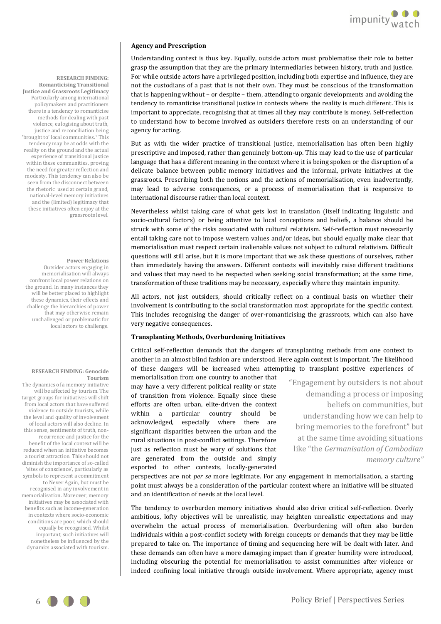#### **Agency and Prescription**

Understanding context is thus key. Equally, outside actors must problematise their role to better grasp the assumption that they are the primary intermediaries between history, truth and justice. For while outside actors have a privileged position, including both expertise and influence, they are not the custodians of a past that is not their own. They must be conscious of the transformation that is happening without – or despite – them, attending to organic developments and avoiding the tendency to romanticise transitional justice in contexts where the reality is much different. This is important to appreciate, recognising that at times all they may contribute is money. Self-reflection to understand how to become involved as outsiders therefore rests on an understanding of our agency for acting.

But as with the wider practice of transitional justice, memorialisation has often been highly prescriptive and imposed, rather than genuinely bottom-up. This may lead to the use of particular language that has a different meaning in the context where it is being spoken or the disruption of a delicate balance between public memory initiatives and the informal, private initiatives at the grassroots. Prescribing both the notions and the actions of memorialisation, even inadvertently, may lead to adverse consequences, or a process of memorialisation that is responsive to international discourse rather than local context.

Nevertheless whilst taking care of what gets lost in translation (itself indicating linguistic and socio-cultural factors) or being attentive to local conceptions and beliefs, a balance should be struck with some of the risks associated with cultural relativism. Self-reflection must necessarily entail taking care not to impose western values and/or ideas, but should equally make clear that memorialisation must respect certain inalienable values not subject to cultural relativism. Difficult questions will still arise, but it is more important that we ask these questions of ourselves, rather than immediately having the answers. Different contexts will inevitably raise different traditions and values that may need to be respected when seeking social transformation; at the same time, transformation of these traditions may be necessary, especially where they maintain impunity.

All actors, not just outsiders, should critically reflect on a continual basis on whether their involvement is contributing to the social transformation most appropriate for the specific context. This includes recognising the danger of over-romanticising the grassroots, which can also have very negative consequences.

#### **Transplanting Methods, Overburdening Initiatives**

Critical self-reflection demands that the dangers of transplanting methods from one context to another in an almost blind fashion are understood. Here again context is important. The likelihood of these dangers will be increased when attempting to transplant positive experiences of

memorialisation from one country to another that may have a very different political reality or state of transition from violence. Equally since these efforts are often urban, elite-driven the context within a particular country should be acknowledged, especially where there are significant disparities between the urban and the rural situations in post-conflict settings. Therefore just as reflection must be wary of solutions that are generated from the outside and simply exported to other contexts, locally-generated

"Engagement by outsiders is not about demanding a process or imposing beliefs on communities, but understanding how we can help to bring memories to the forefront" but at the same time avoiding situations like "the *Germanisation of Cambodian memory culture"* 

perspectives are not *per se* more legitimate. For any engagement in memorialisation, a starting point must always be a consideration of the particular context where an initiative will be situated and an identification of needs at the local level.

The tendency to overburden memory initiatives should also drive critical self-reflection. Overly ambitious, lofty objectives will be unrealistic, may heighten unrealistic expectations and may overwhelm the actual process of memorialisation. Overburdening will often also burden individuals within a post-conflict society with foreign concepts or demands that they may be little prepared to take on. The importance of timing and sequencing here will be dealt with later. And these demands can often have a more damaging impact than if greater humility were introduced, including obscuring the potential for memorialisation to assist communities after violence or indeed confining local initiative through outside involvement. Where appropriate, agency must

**RESEARCH FINDING: Romanticising Transitional Justice and Grassroots Legitimacy**  Particularly among international policymakers and practitioners there is a tendency to romanticise methods for dealing with past violence, eulogising about truth, justice and reconciliation being 'brought to' local communities.<sup>1</sup> This tendency may be at odds with the reality on the ground and the actual experience of transitional justice within these communities, proving the need for greater reflection and modesty. This tendency can also be seen from the disconnect between the rhetoric used at certain grand, national-level memory initiatives and the (limited) legitimacy that these initiatives often enjoy at the grassroots level.

#### **Power Relations**

Outsider actors engaging in memorialisation will always confront local power relations on the ground. In many instances they will be better placed to highlight these dynamics, their effects and challenge the hierarchies of power that may otherwise remain unchallenged or problematic for local actors to challenge.

#### **RESEARCH FINDING: Genocide Tourism**

The dynamics of a memory initiative will be affected by tourism. The target groups for initiatives will shift from local actors that have suffered violence to outside tourists, while the level and quality of involvement of local actors will also decline. In this sense, sentiments of truth, nonrecurrence and justice for the benefit of the local context will be reduced when an initiative becomes a tourist attraction. This should not diminish the importance of so-called 'sites of conscience', particularly as symbols to represent a commitment to Never Again, but must be recognised in any involvement in memorialisation. Moreover, memory initiatives may be associated with benefits such as income-generation in contexts where socio-economic conditions are poor, which should equally be recognised. Whilst important, such initiatives will nonetheless be influenced by the dynamics associated with tourism.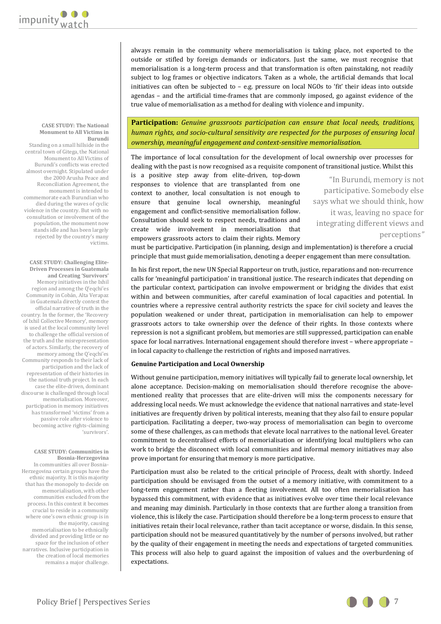**CASE STUDY: The National Monument to All Victims in Burundi** 

Standing on a small hillside in the central town of Gitega, the National Monument to All Victims of Burundi's conflicts was erected almost overnight. Stipulated under the 2000 Arusha Peace and Reconciliation Agreement, the monument is intended to commemorate each Burundian who died during the waves of cyclic violence in the country. But with no consultation or involvement of the population, the monument now stands idle and has been largely rejected by the country's many victims.

**CASE STUDY: Challenging Elite-Driven Processes in Guatemala and Creating 'Survivors'**  Memory initiatives in the Ixhil region and among the Q'eqchi'es Community in Cobán, Alta Verapaz in Guatemala directly contest the official narrative of truth in the country. In the former, the 'Recovery of Ixhil Collective Memory', memory is used at the local community level to challenge the official version of the truth and the misrepresentation of actors. Similarly, the recovery of memory among the Q'eqchi'es Community responds to their lack of participation and the lack of representation of their histories in the national truth project. In each case the elite-driven, dominant discourse is challenged through local memorialisation. Moreover, participation in memory initiatives has transformed 'victims' from a passive role after violence to becoming active rights-claiming 'survivors'.

#### **CASE STUDY: Communities in Bosnia-Herzegovina**

In communities all over Bosnia-Herzegovina certain groups have the ethnic majority. It is this majority that has the monopoly to decide on memorialisation, with other communities excluded from the process. In this context it becomes crucial to reside in a community where one's own ethnic group is in the majority, causing memorialisation to be ethnically divided and providing little or no space for the inclusion of other narratives. Inclusive participation in the creation of local memories remains a major challenge. always remain in the community where memorialisation is taking place, not exported to the outside or stifled by foreign demands or indicators. Just the same, we must recognise that memorialisation is a long-term process and that transformation is often painstaking, not readily subject to log frames or objective indicators. Taken as a whole, the artificial demands that local initiatives can often be subjected to – e.g. pressure on local NGOs to 'fit' their ideas into outside agendas – and the artificial time-frames that are commonly imposed, go against evidence of the true value of memorialisation as a method for dealing with violence and impunity.

**Participation:** *Genuine grassroots participation can ensure that local needs, traditions, human rights, and socio-cultural sensitivity are respected for the purposes of ensuring local ownership, meaningful engagement and context-sensitive memorialisation.*

The importance of local consultation for the development of local ownership over processes for dealing with the past is now recognised as a requisite component of transitional justice. Whilst this

is a positive step away from elite-driven, top-down responses to violence that are transplanted from one context to another, local consultation is not enough to ensure that genuine local ownership, meaningful engagement and conflict-sensitive memorialisation follow. Consultation should seek to respect needs, traditions and create wide involvement in memorialisation that empowers grassroots actors to claim their rights. Memory

"In Burundi, memory is not participative. Somebody else says what we should think, how it was, leaving no space for integrating different views and perceptions*"* 

must be participative. Participation (in planning, design and implementation) is therefore a crucial principle that must guide memorialisation, denoting a deeper engagement than mere consultation.

In his first report, the new UN Special Rapporteur on truth, justice, reparations and non-recurrence calls for 'meaningful participation' in transitional justice. The research indicates that depending on the particular context, participation can involve empowerment or bridging the divides that exist within and between communities, after careful examination of local capacities and potential. In countries where a repressive central authority restricts the space for civil society and leaves the population weakened or under threat, participation in memorialisation can help to empower grassroots actors to take ownership over the defence of their rights. In those contexts where repression is not a significant problem, but memories are still suppressed, participation can enable space for local narratives. International engagement should therefore invest – where appropriate – in local capacity to challenge the restriction of rights and imposed narratives.

#### **Genuine Participation and Local Ownership**

Without genuine participation, memory initiatives will typically fail to generate local ownership, let alone acceptance. Decision-making on memorialisation should therefore recognise the abovementioned reality that processes that are elite-driven will miss the components necessary for addressing local needs. We must acknowledge the evidence that national narratives and state-level initiatives are frequently driven by political interests, meaning that they also fail to ensure popular participation. Facilitating a deeper, two-way process of memorialisation can begin to overcome some of these challenges, as can methods that elevate local narratives to the national level. Greater commitment to decentralised efforts of memorialisation or identifying local multipliers who can work to bridge the disconnect with local communities and informal memory initiatives may also prove important for ensuring that memory is more participative.

Participation must also be related to the critical principle of Process, dealt with shortly. Indeed participation should be envisaged from the outset of a memory initiative, with commitment to a long-term engagement rather than a fleeting involvement. All too often memorialisation has bypassed this commitment, with evidence that as initiatives evolve over time their local relevance and meaning may diminish. Particularly in those contexts that are further along a transition from violence, this is likely the case. Participation should therefore be a long-term process to ensure that initiatives retain their local relevance, rather than tacit acceptance or worse, disdain. In this sense, participation should not be measured quantitatively by the number of persons involved, but rather by the quality of their engagement in meeting the needs and expectations of targeted communities. This process will also help to guard against the imposition of values and the overburdening of expectations.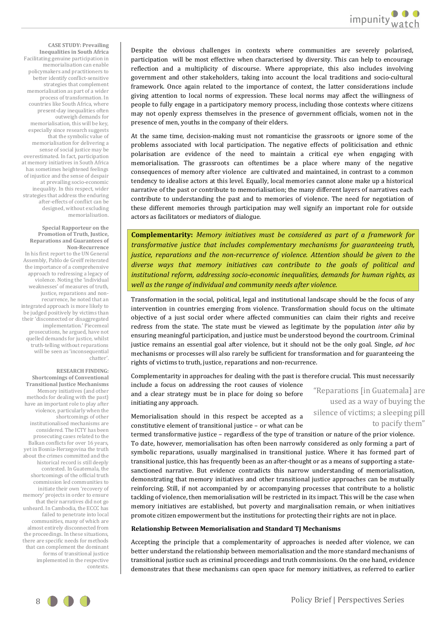**CASE STUDY: Prevailing Inequalities in South Africa**  Facilitating genuine participation in memorialisation can enable policymakers and practitioners to better identify conflict-sensitive strategies that complement memorialisation as part of a wider process of transformation. In countries like South Africa, where present-day inequalities often outweigh demands for memorialisation, this will be key, especially since research suggests that the symbolic value of memorialisation for delivering a sense of social justice may be overestimated. In fact, participation at memory initiatives in South Africa has sometimes heightened feelings of injustice and the sense of despair at prevailing socio-economic inequality. In this respect, wider strategies that address the enduring after-effects of conflict can be designed, without excluding memorialisation.

#### **Special Rapporteur on the Promotion of Truth, Justice, Reparations and Guarantees of Non-Recurrence**

In his first report to the UN General Assembly, Pablo de Greiff reiterated the importance of a comprehensive approach to redressing a legacy of violence. Noting the 'individual weaknesses' of measures of truth, justice, reparations and nonrecurrence, he noted that an integrated approach is more likely to be judged positively by victims than their 'disconnected or disaggregated implementation.' Piecemeal prosecutions, he argued, have not quelled demands for justice, whilst truth-telling without reparations will be seen as 'inconsequential chatter'.

#### **RESEARCH FINDING:**

**Shortcomings of Conventional Transitional Justice Mechanisms**  Memory initiatives (and other methods for dealing with the past) have an important role to play after violence, particularly when the shortcomings of other institutionalised mechanisms are considered. The ICTY has been prosecuting cases related to the Balkan conflicts for over 16 years, yet in Bosnia-Herzegovina the truth about the crimes committed and the historical record is still deeply contested. In Guatemala, the shortcomings of the official truth commission led communities to initiate their own 'recovery of memory' projects in order to ensure that their narratives did not go unheard. In Cambodia, the ECCC has failed to penetrate into local communities, many of which are almost entirely disconnected from the proceedings. In these situations, there are specific needs for methods that can complement the dominant forms of transitional justice implemented in the respective contexts.

Despite the obvious challenges in contexts where communities are severely polarised, participation will be most effective when characterised by diversity. This can help to encourage reflection and a multiplicity of discourse. Where appropriate, this also includes involving government and other stakeholders, taking into account the local traditions and socio-cultural framework. Once again related to the importance of context, the latter considerations include giving attention to local norms of expression. These local norms may affect the willingness of people to fully engage in a participatory memory process, including those contexts where citizens may not openly express themselves in the presence of government officials, women not in the presence of men, youths in the company of their elders.

At the same time, decision-making must not romanticise the grassroots or ignore some of the problems associated with local participation. The negative effects of politicisation and ethnic polarisation are evidence of the need to maintain a critical eye when engaging with memorialisation. The grassroots can oftentimes be a place where many of the negative consequences of memory after violence are cultivated and maintained, in contrast to a common tendency to idealise actors at this level. Equally, local memories cannot alone make up a historical narrative of the past or contribute to memorialisation; the many different layers of narratives each contribute to understanding the past and to memories of violence. The need for negotiation of these different memories through participation may well signify an important role for outside actors as facilitators or mediators of dialogue.

**Complementarity:** *Memory initiatives must be considered as part of a framework for transformative justice that includes complementary mechanisms for guaranteeing truth, justice, reparations and the non-recurrence of violence. Attention should be given to the diverse ways that memory initiatives can contribute to the goals of political and institutional reform, addressing socio-economic inequalities, demands for human rights, as well as the range of individual and community needs after violence.* 

Transformation in the social, political, legal and institutional landscape should be the focus of any intervention in countries emerging from violence. Transformation should focus on the ultimate objective of a just social order where affected communities can claim their rights and receive redress from the state. The state must be viewed as legitimate by the population *inter alia* by ensuring meaningful participation, and justice must be understood beyond the courtroom. Criminal justice remains an essential goal after violence, but it should not be the only goal. Single, *ad hoc* mechanisms or processes will also rarely be sufficient for transformation and for guaranteeing the rights of victims to truth, justice, reparations and non-recurrence.

Complementarity in approaches for dealing with the past is therefore crucial. This must necessarily include a focus on addressing the root causes of violence

and a clear strategy must be in place for doing so before initiating any approach.

Memorialisation should in this respect be accepted as a constitutive element of transitional justice – or what can be

"Reparations [in Guatemala] are used as a way of buying the silence of victims; a sleeping pill to pacify them"

termed transformative justice – regardless of the type of transition or nature of the prior violence. To date, however, memorialisation has often been narrowly considered as only forming a part of symbolic reparations, usually marginalised in transitional justice. Where it has formed part of transitional justice, this has frequently been as an after-thought or as a means of supporting a statesanctioned narrative. But evidence contradicts this narrow understanding of memorialisation, demonstrating that memory initiatives and other transitional justice approaches can be mutually reinforcing. Still, if not accompanied by or accompanying processes that contribute to a holistic tackling of violence, then memorialisation will be restricted in its impact. This will be the case when memory initiatives are established, but poverty and marginalisation remain, or when initiatives promote citizen empowerment but the institutions for protecting their rights are not in place.

#### **Relationship Between Memorialisation and Standard TJ Mechanisms**

Accepting the principle that a complementarity of approaches is needed after violence, we can better understand the relationship between memorialisation and the more standard mechanisms of transitional justice such as criminal proceedings and truth commissions. On the one hand, evidence demonstrates that these mechanisms can open space for memory initiatives, as referred to earlier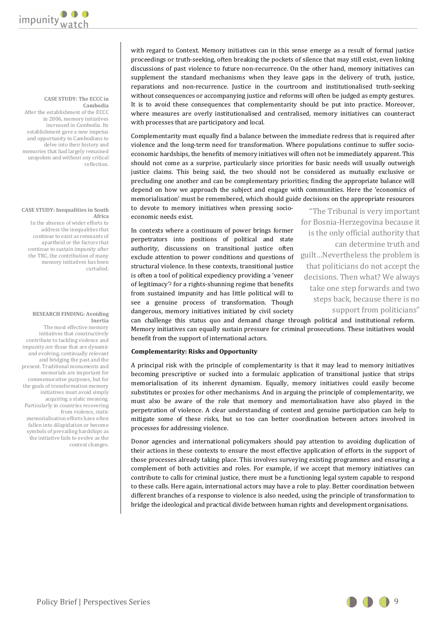#### **CASE STUDY: The ECCC in Cambodia**

After the establishment of the ECCC in 2006, memory initiatives increased in Cambodia. Its establishment gave a new impetus and opportunity to Cambodians to delve into their history and memories that had largely remained unspoken and without any critical reflection.

#### **CASE STUDY: Inequalities in South Africa**

In the absence of wider efforts to address the inequalities that continue to exist as remnants of apartheid or the factors that continue to sustain impunity after the TRC, the contribution of many memory initiatives has been curtailed.

#### **RESEARCH FINDING: Avoiding Inertia**

The most effective memory initiatives that constructively contribute to tackling violence and impunity are those that are dynamic and evolving, continually relevant and bridging the past and the present. Traditional monuments and memorials are important for commemorative purposes, but for the goals of transformation memory initiatives must avoid simply acquiring a static meaning. Particularly in countries recovering from violence, static memorialisation efforts have often fallen into dilapidation or become symbols of prevailing hardships as the initiative fails to evolve as the context changes.

with regard to Context. Memory initiatives can in this sense emerge as a result of formal justice proceedings or truth-seeking, often breaking the pockets of silence that may still exist, even linking discussions of past violence to future non-recurrence. On the other hand, memory initiatives can supplement the standard mechanisms when they leave gaps in the delivery of truth, justice, reparations and non-recurrence. Justice in the courtroom and institutionalised truth-seeking without consequences or accompanying justice and reforms will often be judged as empty gestures. It is to avoid these consequences that complementarity should be put into practice. Moreover, where measures are overly institutionalised and centralised, memory initiatives can counteract with processes that are participatory and local.

Complementarity must equally find a balance between the immediate redress that is required after violence and the long-term need for transformation. Where populations continue to suffer socioeconomic hardships, the benefits of memory initiatives will often not be immediately apparent. This should not come as a surprise, particularly since priorities for basic needs will usually outweigh justice claims. This being said, the two should not be considered as mutually exclusive or precluding one another and can be complementary priorities; finding the appropriate balance will depend on how we approach the subject and engage with communities. Here the 'economics of memorialisation' must be remembered, which should guide decisions on the appropriate resources to devote to memory initiatives when pressing socio-

economic needs exist.

In contexts where a continuum of power brings former perpetrators into positions of political and state authority, discussions on transitional justice often exclude attention to power conditions and questions of structural violence. In these contexts, transitional justice is often a tool of political expediency providing a 'veneer of legitimacy'2 for a rights-shunning regime that benefits from sustained impunity and has little political will to see a genuine process of transformation. Though dangerous, memory initiatives initiated by civil society

"The Tribunal is very important for Bosnia-Herzegovina because it is the only official authority that can determine truth and guilt…Nevertheless the problem is that politicians do not accept the decisions. Then what? We always take one step forwards and two steps back, because there is no support from politicians"

can challenge this status quo and demand change through political and institutional reform. Memory initiatives can equally sustain pressure for criminal prosecutions. These initiatives would benefit from the support of international actors.

## **Complementarity: Risks and Opportunity**

A principal risk with the principle of complementarity is that it may lead to memory initiatives becoming prescriptive or sucked into a formulaic application of transitional justice that strips memorialisation of its inherent dynamism. Equally, memory initiatives could easily become substitutes or proxies for other mechanisms. And in arguing the principle of complementarity, we must also be aware of the role that memory and memorialisation have also played in the perpetration of violence. A clear understanding of context and genuine participation can help to mitigate some of these risks, but so too can better coordination between actors involved in processes for addressing violence.

Donor agencies and international policymakers should pay attention to avoiding duplication of their actions in these contexts to ensure the most effective application of efforts in the support of those processes already taking place. This involves surveying existing programmes and ensuring a complement of both activities and roles. For example, if we accept that memory initiatives can contribute to calls for criminal justice, there must be a functioning legal system capable to respond to these calls. Here again, international actors may have a role to play. Better coordination between different branches of a response to violence is also needed, using the principle of transformation to bridge the ideological and practical divide between human rights and development organisations.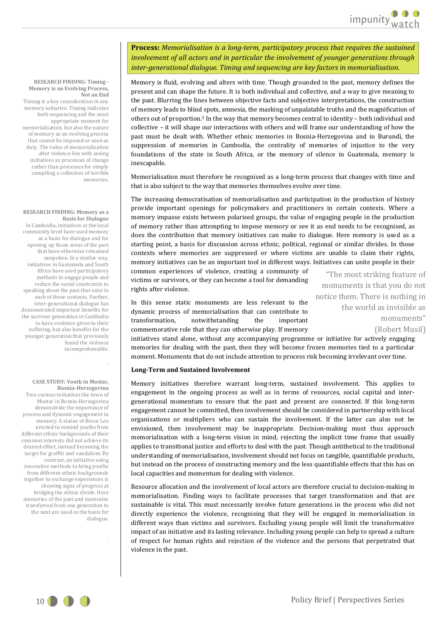**Process:** *Memorialisation is a long-term, participatory process that requires the sustained involvement of all actors and in particular the involvement of younger generations through inter-generational dialogue. Timing and sequencing are key factors in memorialisation.*

Memory is fluid, evolving and alters with time. Though grounded in the past, memory defines the present and can shape the future. It is both individual and collective, and a way to give meaning to the past. Blurring the lines between objective facts and subjective interpretations, the construction of memory leads to blind spots, amnesia, the masking of unpalatable truths and the magnification of others out of proportion.3 In the way that memory becomes central to identity – both individual and collective – it will shape our interactions with others and will frame our understanding of how the past must be dealt with. Whether ethnic memories in Bosnia-Herzegovina and in Burundi, the suppression of memories in Cambodia, the centrality of memories of injustice to the very foundations of the state in South Africa, or the memory of silence in Guatemala, memory is inescapable.

Memorialisation must therefore be recognised as a long-term process that changes with time and that is also subject to the way that memories themselves evolve over time.

The increasing democratisation of memorialisation and participation in the production of history provide important openings for policymakers and practitioners in certain contexts. Where a memory impasse exists between polarised groups, the value of engaging people in the production of memory rather than attempting to impose memory or see it as end needs to be recognised, as does the contribution that memory initiatives can make to dialogue. Here memory is used as a starting point, a basis for discussion across ethnic, political, regional or similar divides. In those contexts where memories are suppressed or where victims are unable to claim their rights, memory initiatives can be an important tool in different ways. Initiatives can unite people in their

common experiences of violence, creating a community of victims or survivors, or they can become a tool for demanding rights after violence.

In this sense static monuments are less relevant to the dynamic process of memorialisation that can contribute to transformation, notwithstanding the important commemorative role that they can otherwise play. If memory

"The most striking feature of monuments is that you do not notice them. There is nothing in the world as invisible as monuments"

(Robert Musil)

initiatives stand alone, without any accompanying programme or initiative for actively engaging memories for dealing with the past, then they will become frozen memories tied to a particular moment. Monuments that do not include attention to process risk becoming irrelevant over time.

#### **Long-Term and Sustained Involvement**

Memory initiatives therefore warrant long-term, sustained involvement. This applies to engagement in the ongoing process as well as in terms of resources, social capital and intergenerational momentum to ensure that the past and present are connected. If this long-term engagement cannot be committed, then involvement should be considered in partnership with local organisations or multipliers who can sustain the involvement. If the latter can also not be envisioned, then involvement may be inappropriate. Decision-making must thus approach memorialisation with a long-term vision in mind, rejecting the implicit time frame that usually applies to transitional justice and efforts to deal with the past. Though antithetical to the traditional understanding of memorialisation, involvement should not focus on tangible, quantifiable products, but instead on the process of constructing memory and the less quantifiable effects that this has on local capacities and momentum for dealing with violence.

Resource allocation and the involvement of local actors are therefore crucial to decision-making in memorialisation. Finding ways to facilitate processes that target transformation and that are sustainable is vital. This must necessarily involve future generations in the process who did not directly experience the violence, recognising that they will be engaged in memorialisation in different ways than victims and survivors. Excluding young people will limit the transformative impact of an initiative and its lasting relevance. Including young people can help to spread a culture of respect for human rights and rejection of the violence and the persons that perpetrated that violence in the past.

#### **RESEARCH FINDING: Timing - Memory is an Evolving Process, Not an End**

Timing is a key consideration in any memory initiative. Timing indicates both sequencing and the most appropriate moment for memorialisation, but also the nature of memory as an evolving process that cannot be imposed or seen as duty. The value of memorialisation after violence lies with seeing initiatives as processes of change rather than processes for simply compiling a collection of terrible memories.

#### **RESEARCH FINDING: Memory as a Basis for Dialogue**

In Cambodia, initiatives at the local community level have used memory as a basis for dialogue and for opening up those areas of the past that have otherwise remained unspoken. In a similar way, initiatives in Guatemala and South Africa have used participatory methods to engage people and reduce the social constraints to speaking about the past that exist in each of these contexts. Further, inter-generational dialogue has demonstrated important benefits for the survivor generation in Cambodia to have credence given to their suffering, but also benefits for the younger generation that previously found the violence incomprehensible.

#### **CASE STUDY: Youth in Mostar, Bosnia-Herzegovina**

.

.

Two curious initiatives the town of Mostar in Bosnia-Herzegovina demonstrate the importance of process and dynamic engagement in memory. A statue of Bruce Lee erected to remind youths from different ethnic backgrounds of their common interests did not achieve its desired effect, instead becoming the target for graffiti and vandalism. By contrast, an initiative using innovative methods to bring youths from different ethnic backgrounds together to exchange experiences is showing signs of progress at bridging the ethnic divide. Here memories of the past and memories transferred from one generation to the next are used as the basis for dialogue.

10 **Policy Brief | Perspectives Series**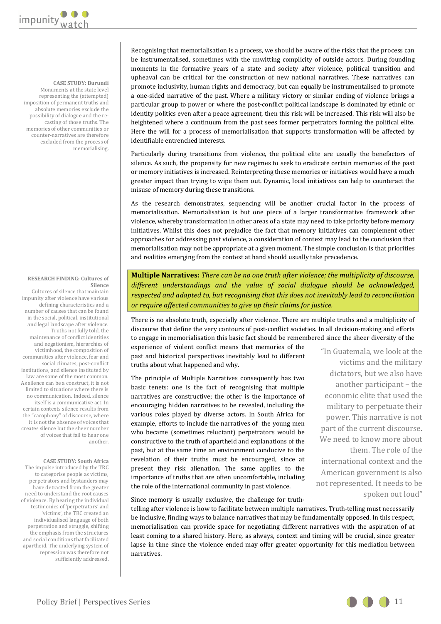

#### **CASE STUDY: Burundi**

Monuments at the state level representing the (attempted) imposition of permanent truths and absolute memories exclude the possibility of dialogue and the recasting of those truths. The memories of other communities or counter-narratives are therefore excluded from the process of memorialising.

#### **RESEARCH FINDING: Cultures of Silence**

Cultures of silence that maintain impunity after violence have various defining characteristics and a number of causes that can be found in the social, political, institutional and legal landscape after violence. Truths not fully told, the maintenance of conflict identities and negationism, hierarchies of victimhood, the composition of communities after violence, fear and social climates, post-conflict institutions, and silence instituted by law are some of the most common. As silence can be a construct, it is not limited to situations where there is no communication. Indeed, silence itself is a communicative act. In certain contexts silence results from the "cacophony" of discourse, where it is not the absence of voices that creates silence but the sheer number of voices that fail to hear one another.

#### **CASE STUDY: South Africa**

The impulse introduced by the TRC to categorise people as victims, perpetrators and bystanders may have detracted from the greater need to understand the root causes of violence. By hearing the individual testimonies of 'perpetrators' and 'victims', the TRC created an individualised language of both perpetration and struggle, shifting the emphasis from the structures and social conditions that facilitated apartheid. The underlying system of repression was therefore not sufficiently addressed.

Recognising that memorialisation is a process, we should be aware of the risks that the process can be instrumentalised, sometimes with the unwitting complicity of outside actors. During founding moments in the formative years of a state and society after violence, political transition and upheaval can be critical for the construction of new national narratives. These narratives can promote inclusivity, human rights and democracy, but can equally be instrumentalised to promote a one-sided narrative of the past. Where a military victory or similar ending of violence brings a particular group to power or where the post-conflict political landscape is dominated by ethnic or identity politics even after a peace agreement, then this risk will be increased. This risk will also be heightened where a continuum from the past sees former perpetrators forming the political elite. Here the will for a process of memorialisation that supports transformation will be affected by identifiable entrenched interests.

Particularly during transitions from violence, the political elite are usually the benefactors of silence. As such, the propensity for new regimes to seek to eradicate certain memories of the past or memory initiatives is increased. Reinterpreting these memories or initiatives would have a much greater impact than trying to wipe them out. Dynamic, local initiatives can help to counteract the misuse of memory during these transitions.

As the research demonstrates, sequencing will be another crucial factor in the process of memorialisation. Memorialisation is but one piece of a larger transformative framework after violence, whereby transformation in other areas of a state may need to take priority before memory initiatives. Whilst this does not prejudice the fact that memory initiatives can complement other approaches for addressing past violence, a consideration of context may lead to the conclusion that memorialisation may not be appropriate at a given moment. The simple conclusion is that priorities and realities emerging from the context at hand should usually take precedence.

**Multiple Narratives:** *There can be no one truth after violence; the multiplicity of discourse, different understandings and the value of social dialogue should be acknowledged, respected and adapted to, but recognising that this does not inevitably lead to reconciliation or require affected communities to give up their claims for justice.* 

There is no absolute truth, especially after violence. There are multiple truths and a multiplicity of discourse that define the very contours of post-conflict societies. In all decision-making and efforts to engage in memorialisation this basic fact should be remembered since the sheer diversity of the

experience of violent conflict means that memories of the past and historical perspectives inevitably lead to different truths about what happened and why.

The principle of Multiple Narratives consequently has two basic tenets: one is the fact of recognising that multiple narratives are constructive; the other is the importance of encouraging hidden narratives to be revealed, including the various roles played by diverse actors. In South Africa for example, efforts to include the narratives of the young men who became (sometimes reluctant) perpetrators would be constructive to the truth of apartheid and explanations of the past, but at the same time an environment conducive to the revelation of their truths must be encouraged, since at present they risk alienation. The same applies to the importance of truths that are often uncomfortable, including the role of the international community in past violence.

"In Guatemala, we look at the victims and the military dictators, but we also have another participant – the economic elite that used the military to perpetuate their power. This narrative is not part of the current discourse. We need to know more about them. The role of the international context and the American government is also not represented. It needs to be spoken out loud"

Since memory is usually exclusive, the challenge for truth-

telling after violence is how to facilitate between multiple narratives. Truth-telling must necessarily be inclusive, finding ways to balance narratives that may be fundamentally opposed. In this respect, memorialisation can provide space for negotiating different narratives with the aspiration of at least coming to a shared history. Here, as always, context and timing will be crucial, since greater lapse in time since the violence ended may offer greater opportunity for this mediation between narratives.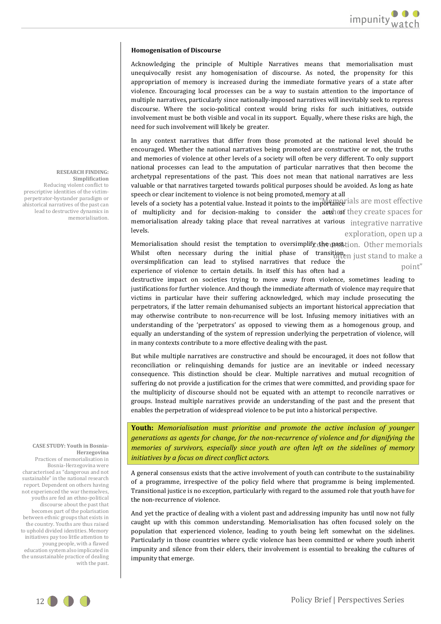#### **Homogenisation of Discourse**

Acknowledging the principle of Multiple Narratives means that memorialisation must unequivocally resist any homogenisation of discourse. As noted, the propensity for this appropriation of memory is increased during the immediate formative years of a state after violence. Encouraging local processes can be a way to sustain attention to the importance of multiple narratives, particularly since nationally-imposed narratives will inevitably seek to repress discourse. Where the socio-political context would bring risks for such initiatives, outside involvement must be both visible and vocal in its support. Equally, where these risks are high, the need for such involvement will likely be greater.

In any context narratives that differ from those promoted at the national level should be encouraged. Whether the national narratives being promoted are constructive or not, the truths and memories of violence at other levels of a society will often be very different. To only support national processes can lead to the amputation of particular narratives that then become the archetypal representations of the past. This does not mean that national narratives are less valuable or that narratives targeted towards political purposes should be avoided. As long as hate speech or clear incitement to violence is not being promoted, memory at all

levels of a society has a potential value. Instead it points to the importance ials are most effective of multiplicity and for decision-making to consider the actsheof they create spaces for memorialisation already taking place that reveal narratives at various integrative narrative exploration, open up a levels.

Memorialisation should resist the temptation to oversimplify the past tion. Other memorials Whilst often necessary during the initial phase of transition<sub>en just</sub> stand to make a point" oversimplification can lead to stylised narratives that reduce the experience of violence to certain details. In itself this has often had a

destructive impact on societies trying to move away from violence, sometimes leading to justifications for further violence. And though the immediate aftermath of violence may require that victims in particular have their suffering acknowledged, which may include prosecuting the perpetrators, if the latter remain dehumanised subjects an important historical appreciation that may otherwise contribute to non-recurrence will be lost. Infusing memory initiatives with an understanding of the 'perpetrators' as opposed to viewing them as a homogenous group, and equally an understanding of the system of repression underlying the perpetration of violence, will in many contexts contribute to a more effective dealing with the past.

But while multiple narratives are constructive and should be encouraged, it does not follow that reconciliation or relinquishing demands for justice are an inevitable or indeed necessary consequence. This distinction should be clear. Multiple narratives and mutual recognition of suffering do not provide a justification for the crimes that were committed, and providing space for the multiplicity of discourse should not be equated with an attempt to reconcile narratives or groups. Instead multiple narratives provide an understanding of the past and the present that enables the perpetration of widespread violence to be put into a historical perspective.

**Youth:** *Memorialisation must prioritise and promote the active inclusion of younger generations as agents for change, for the non-recurrence of violence and for dignifying the memories of survivors, especially since youth are often left on the sidelines of memory initiatives by a focus on direct conflict actors.*

A general consensus exists that the active involvement of youth can contribute to the sustainability of a programme, irrespective of the policy field where that programme is being implemented. Transitional justice is no exception, particularly with regard to the assumed role that youth have for the non-recurrence of violence.

And yet the practice of dealing with a violent past and addressing impunity has until now not fully caught up with this common understanding. Memorialisation has often focused solely on the population that experienced violence, leading to youth being left somewhat on the sidelines. Particularly in those countries where cyclic violence has been committed or where youth inherit impunity and silence from their elders, their involvement is essential to breaking the cultures of impunity that emerge.

#### **RESEARCH FINDING: Simplification**

Reducing violent conflict to prescriptive identities of the victimperpetrator-bystander paradigm or ahistorical narratives of the past can lead to destructive dynamics in memorialisation.

#### **CASE STUDY: Youth in Bosnia-Herzegovina**

Practices of memorialisation in Bosnia-Herzegovina were characterised as "dangerous and not sustainable" in the national research report. Dependent on others having not experienced the war themselves, youths are fed an ethno-political discourse about the past that becomes part of the polarisation between ethnic groups that exists in the country. Youths are thus raised to uphold divided identities. Memory initiatives pay too little attention to young people, with a flawed education system also implicated in the unsustainable practice of dealing with the past.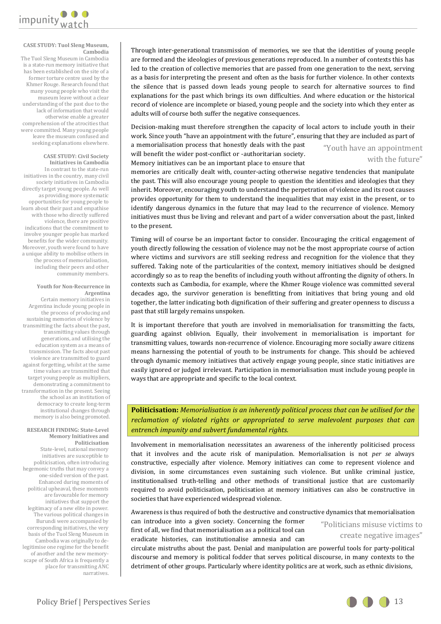

#### **CASE STUDY: Tuol Sleng Museum, Cambodia**

The Tuol Sleng Museum in Cambodia is a state-run memory initiative that has been established on the site of a former torture centre used by the Khmer Rouge. Research found that many young people who visit the museum leave without a clear understanding of the past due to the lack of information that would otherwise enable a greater comprehension of the atrocities that were committed. Many young people leave the museum confused and seeking explanations elsewhere.

#### **CASE STUDY: Civil Society Initiatives in Cambodia**

In contrast to the state-run initiatives in the country, many civil society initiatives in Cambodia directly target young people. As well as providing more systematic opportunities for young people to learn about their past and empathise with those who directly suffered violence, there are positive indications that the commitment to involve younger people has marked benefits for the wider community. Moreover, youth were found to have a unique ability to mobilise others in the process of memorialisation, including their peers and other community members.

#### **Youth for Non-Recurrence in Argentina**

Certain memory initiatives in Argentina include young people in the process of producing and sustaining memories of violence by transmitting the facts about the past, transmitting values through generations, and utilising the education system as a means of transmission. The facts about past violence are transmitted to guard against forgetting, whilst at the same time values are transmitted that target young people as multipliers, demonstrating a commitment to transformation in the present. Seeing the school as an institution of democracy to create long-term institutional changes through memory is also being promoted.

#### **RESEARCH FINDING: State-Level Memory Initiatives and Politicisation**

State-level, national memory initiatives are susceptible to politicisation, often introducing hegemonic truths that may convey a one-sided version of the past. Enhanced during moments of political upheaval, these moments are favourable for memory initiatives that support the legitimacy of a new elite in power. The various political changes in Burundi were accompanied by corresponding initiatives, the very basis of the Tuol Sleng Museum in Cambodia was originally to delegitimise one regime for the benefit of another and the new memoryscape of South Africa is frequently a place for transmitting ANC narratives.

Through inter-generational transmission of memories, we see that the identities of young people are formed and the ideologies of previous generations reproduced. In a number of contexts this has led to the creation of collective memories that are passed from one generation to the next, serving as a basis for interpreting the present and often as the basis for further violence. In other contexts the silence that is passed down leads young people to search for alternative sources to find explanations for the past which brings its own difficulties. And where education or the historical record of violence are incomplete or biased, young people and the society into which they enter as adults will of course both suffer the negative consequences.

Decision-making must therefore strengthen the capacity of local actors to include youth in their work. Since youth "have an appointment with the future", ensuring that they are included as part of

a memorialisation process that honestly deals with the past will benefit the wider post-conflict or -authoritarian society. Memory initiatives can be an important place to ensure that

"Youth have an appointment with the future'

memories are critically dealt with, counter-acting otherwise negative tendencies that manipulate the past. This will also encourage young people to question the identities and ideologies that they inherit. Moreover, encouraging youth to understand the perpetration of violence and its root causes provides opportunity for them to understand the inequalities that may exist in the present, or to identify dangerous dynamics in the future that may lead to the recurrence of violence. Memory initiatives must thus be living and relevant and part of a wider conversation about the past, linked to the present.

Timing will of course be an important factor to consider. Encouraging the critical engagement of youth directly following the cessation of violence may not be the most appropriate course of action where victims and survivors are still seeking redress and recognition for the violence that they suffered. Taking note of the particularities of the context, memory initiatives should be designed accordingly so as to reap the benefits of including youth without affronting the dignity of others. In contexts such as Cambodia, for example, where the Khmer Rouge violence was committed several decades ago, the survivor generation is benefitting from initiatives that bring young and old together, the latter indicating both dignification of their suffering and greater openness to discuss a past that still largely remains unspoken.

It is important therefore that youth are involved in memorialisation for transmitting the facts, guarding against oblivion. Equally, their involvement in memorialisation is important for transmitting values, towards non-recurrence of violence. Encouraging more socially aware citizens means harnessing the potential of youth to be instruments for change. This should be achieved through dynamic memory initiatives that actively engage young people, since static initiatives are easily ignored or judged irrelevant. Participation in memorialisation must include young people in ways that are appropriate and specific to the local context.

**Politicisation:** *Memorialisation is an inherently political process that can be utilised for the reclamation of violated rights or appropriated to serve malevolent purposes that can entrench impunity and subvert fundamental rights.*

Involvement in memorialisation necessitates an awareness of the inherently politicised process that it involves and the acute risk of manipulation. Memorialisation is not *per se* always constructive, especially after violence. Memory initiatives can come to represent violence and division, in some circumstances even sustaining such violence. But unlike criminal justice, institutionalised truth-telling and other methods of transitional justice that are customarily required to avoid politicisation, politicisation at memory initiatives can also be constructive in societies that have experienced widespread violence.

Awareness is thus required of both the destructive and constructive dynamics that memorialisation

can introduce into a given society. Concerning the former first of all, we find that memorialisation as a political tool can eradicate histories, can institutionalise amnesia and can

"Politicians misuse victims to create negative images"

circulate mistruths about the past. Denial and manipulation are powerful tools for party-political discourse and memory is political fodder that serves political discourse, in many contexts to the detriment of other groups. Particularly where identity politics are at work, such as ethnic divisions,

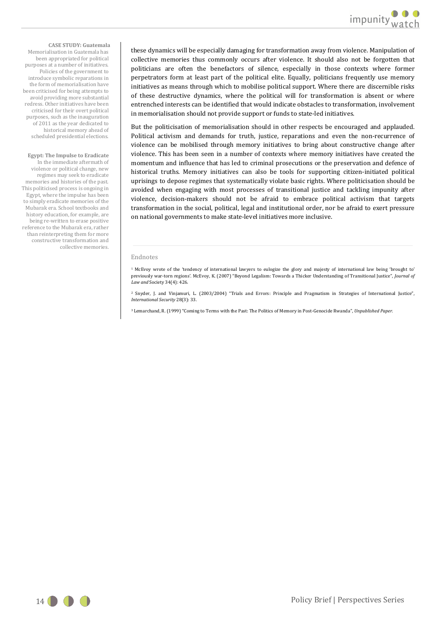**CASE STUDY: Guatemala**  Memorialisation in Guatemala has been appropriated for political purposes at a number of initiatives. Policies of the government to introduce symbolic reparations in the form of memorialisation have been criticised for being attempts to avoid providing more substantial redress. Other initiatives have been criticised for their overt political purposes, such as the inauguration of 2011 as the year dedicated to historical memory ahead of scheduled presidential elections.

#### **Egypt: The Impulse to Eradicate**

In the immediate aftermath of violence or political change, new regimes may seek to eradicate memories and histories of the past. This politicised process is ongoing in Egypt, where the impulse has been to simply eradicate memories of the Mubarak era. School textbooks and history education, for example, are being re-written to erase positive reference to the Mubarak era, rather than reinterpreting them for more constructive transformation and collective memories.

these dynamics will be especially damaging for transformation away from violence. Manipulation of collective memories thus commonly occurs after violence. It should also not be forgotten that politicians are often the benefactors of silence, especially in those contexts where former perpetrators form at least part of the political elite. Equally, politicians frequently use memory initiatives as means through which to mobilise political support. Where there are discernible risks of these destructive dynamics, where the political will for transformation is absent or where entrenched interests can be identified that would indicate obstacles to transformation, involvement in memorialisation should not provide support or funds to state-led initiatives.

But the politicisation of memorialisation should in other respects be encouraged and applauded. Political activism and demands for truth, justice, reparations and even the non-recurrence of violence can be mobilised through memory initiatives to bring about constructive change after violence. This has been seen in a number of contexts where memory initiatives have created the momentum and influence that has led to criminal prosecutions or the preservation and defence of historical truths. Memory initiatives can also be tools for supporting citizen-initiated political uprisings to depose regimes that systematically violate basic rights. Where politicisation should be avoided when engaging with most processes of transitional justice and tackling impunity after violence, decision-makers should not be afraid to embrace political activism that targets transformation in the social, political, legal and institutional order, nor be afraid to exert pressure on national governments to make state-level initiatives more inclusive.

#### Endnotes

<sup>1</sup> McEvoy wrote of the 'tendency of international lawyers to eulogize the glory and majesty of international law being 'brought to' previously war-torn regions'. McEvoy, K. (2007) "Beyond Legalism: Towards a Thicker Understanding of Transitional Justice", *Journal of Law and* Society 34(4): 426.

<sup>2</sup> Snyder, J. and Vinjamuri, L. (2003/2004) "Trials and Errors: Principle and Pragmatism in Strategies of International Justice", *International Security* 28(3): 33.

<sup>3</sup> Lemarchand, R. (1999) "Coming to Terms with the Past: The Politics of Memory in Post-Genocide Rwanda", *Unpublished Paper.*